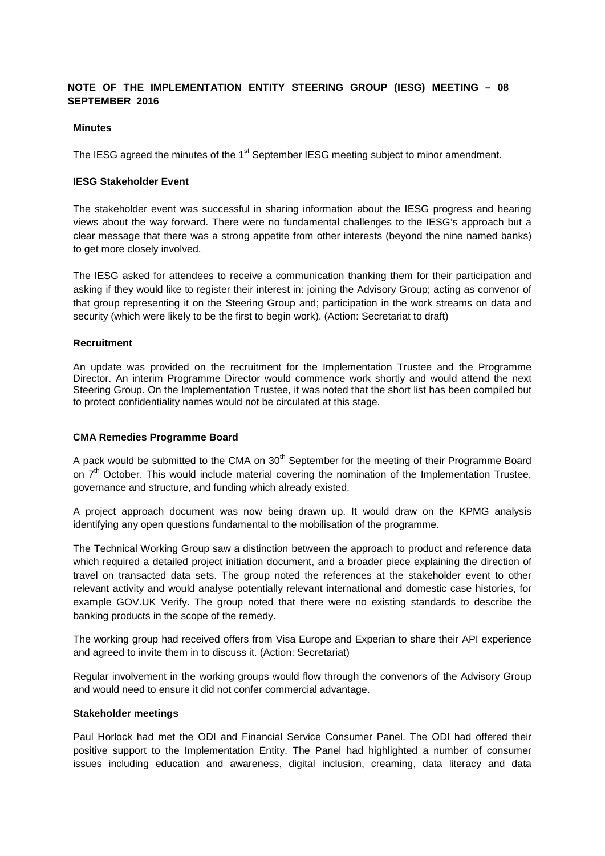# **NOTE OF THE IMPLEMENTATION ENTITY STEERING GROUP (IESG) MEETING – 08 SEPTEMBER 2016**

#### **Minutes**

The IESG agreed the minutes of the 1<sup>st</sup> September IESG meeting subject to minor amendment.

#### **IESG Stakeholder Event**

The stakeholder event was successful in sharing information about the IESG progress and hearing views about the way forward. There were no fundamental challenges to the IESG's approach but a clear message that there was a strong appetite from other interests (beyond the nine named banks) to get more closely involved.

The IESG asked for attendees to receive a communication thanking them for their participation and asking if they would like to register their interest in: joining the Advisory Group; acting as convenor of that group representing it on the Steering Group and; participation in the work streams on data and security (which were likely to be the first to begin work). (Action: Secretariat to draft)

## **Recruitment**

An update was provided on the recruitment for the Implementation Trustee and the Programme Director. An interim Programme Director would commence work shortly and would attend the next Steering Group. On the Implementation Trustee, it was noted that the short list has been compiled but to protect confidentiality names would not be circulated at this stage.

#### **CMA Remedies Programme Board**

A pack would be submitted to the CMA on  $30<sup>th</sup>$  September for the meeting of their Programme Board on  $7<sup>th</sup>$  October. This would include material covering the nomination of the Implementation Trustee, governance and structure, and funding which already existed.

A project approach document was now being drawn up. It would draw on the KPMG analysis identifying any open questions fundamental to the mobilisation of the programme.

The Technical Working Group saw a distinction between the approach to product and reference data which required a detailed project initiation document, and a broader piece explaining the direction of travel on transacted data sets. The group noted the references at the stakeholder event to other relevant activity and would analyse potentially relevant international and domestic case histories, for example GOV.UK Verify. The group noted that there were no existing standards to describe the banking products in the scope of the remedy.

The working group had received offers from Visa Europe and Experian to share their API experience and agreed to invite them in to discuss it. (Action: Secretariat)

Regular involvement in the working groups would flow through the convenors of the Advisory Group and would need to ensure it did not confer commercial advantage.

#### **Stakeholder meetings**

Paul Horlock had met the ODI and Financial Service Consumer Panel. The ODI had offered their positive support to the Implementation Entity. The Panel had highlighted a number of consumer issues including education and awareness, digital inclusion, creaming, data literacy and data